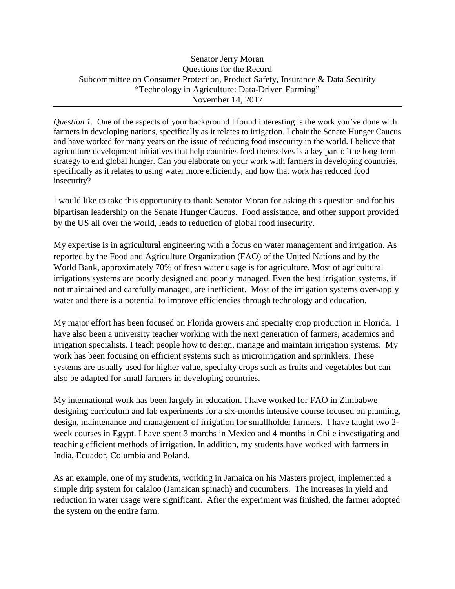*Question 1.* One of the aspects of your background I found interesting is the work you've done with farmers in developing nations, specifically as it relates to irrigation. I chair the Senate Hunger Caucus and have worked for many years on the issue of reducing food insecurity in the world. I believe that agriculture development initiatives that help countries feed themselves is a key part of the long-term strategy to end global hunger. Can you elaborate on your work with farmers in developing countries, specifically as it relates to using water more efficiently, and how that work has reduced food insecurity?

I would like to take this opportunity to thank Senator Moran for asking this question and for his bipartisan leadership on the Senate Hunger Caucus. Food assistance, and other support provided by the US all over the world, leads to reduction of global food insecurity.

My expertise is in agricultural engineering with a focus on water management and irrigation. As reported by the Food and Agriculture Organization (FAO) of the United Nations and by the World Bank, approximately 70% of fresh water usage is for agriculture. Most of agricultural irrigations systems are poorly designed and poorly managed. Even the best irrigation systems, if not maintained and carefully managed, are inefficient. Most of the irrigation systems over-apply water and there is a potential to improve efficiencies through technology and education.

My major effort has been focused on Florida growers and specialty crop production in Florida. I have also been a university teacher working with the next generation of farmers, academics and irrigation specialists. I teach people how to design, manage and maintain irrigation systems. My work has been focusing on efficient systems such as microirrigation and sprinklers. These systems are usually used for higher value, specialty crops such as fruits and vegetables but can also be adapted for small farmers in developing countries.

My international work has been largely in education. I have worked for FAO in Zimbabwe designing curriculum and lab experiments for a six-months intensive course focused on planning, design, maintenance and management of irrigation for smallholder farmers. I have taught two 2 week courses in Egypt. I have spent 3 months in Mexico and 4 months in Chile investigating and teaching efficient methods of irrigation. In addition, my students have worked with farmers in India, Ecuador, Columbia and Poland.

As an example, one of my students, working in Jamaica on his Masters project, implemented a simple drip system for calaloo (Jamaican spinach) and cucumbers. The increases in yield and reduction in water usage were significant. After the experiment was finished, the farmer adopted the system on the entire farm.